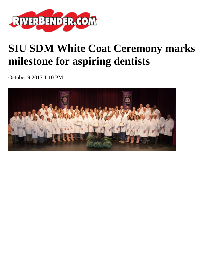

## **SIU SDM White Coat Ceremony marks milestone for aspiring dentists**

October 9 2017 1:10 PM

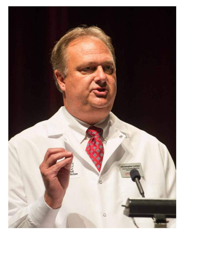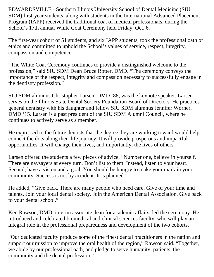EDWARDSVILLE - Southern Illinois University School of Dental Medicine (SIU SDM) first-year students, along with students in the International Advanced Placement Program (IAPP) received the traditional coat of medical professionals, during the School's 17th annual White Coat Ceremony held Friday, Oct. 6.

The first-year cohort of 51 students, and six IAPP students, took the professional oath of ethics and committed to uphold the School's values of service, respect, integrity, compassion and competence.

"The White Coat Ceremony continues to provide a distinguished welcome to the profession," said SIU SDM Dean Bruce Rotter, DMD. "The ceremony conveys the importance of the respect, integrity and compassion necessary to successfully engage in the dentistry profession."

SIU SDM alumnus Christopher Larsen, DMD '88, was the keynote speaker. Larsen serves on the Illinois State Dental Society Foundation Board of Directors. He practices general dentistry with his daughter and fellow SIU SDM alumnus Jennifer Worner, DMD '15. Larsen is a past president of the SIU SDM Alumni Council, where he continues to actively serve as a member.

He expressed to the future dentists that the degree they are working toward would help connect the dots along their life journey. It will provide prosperous and impactful opportunities. It will change their lives, and importantly, the lives of others.

Larsen offered the students a few pieces of advice, "Number one, believe in yourself. There are naysayers at every turn. Don't list to them. Instead, listen to your heart. Second, have a vision and a goal. You should be hungry to make your mark in your community. Success is not by accident. It is planned."

He added, "Give back. There are many people who need care. Give of your time and talents. Join your local dental society. Join the American Dental Association. Give back to your dental school."

Ken Rawson, DMD, interim associate dean for academic affairs, led the ceremony. He introduced and celebrated biomedical and clinical sciences faculty, who will play an integral role in the professional preparedness and development of the two cohorts.

"Our dedicated faculty produce some of the finest dental practitioners in the nation and support our mission to improve the oral health of the region," Rawson said. "Together, we abide by our professional oath, and pledge to serve humanity, patients, the community and the dental profession."